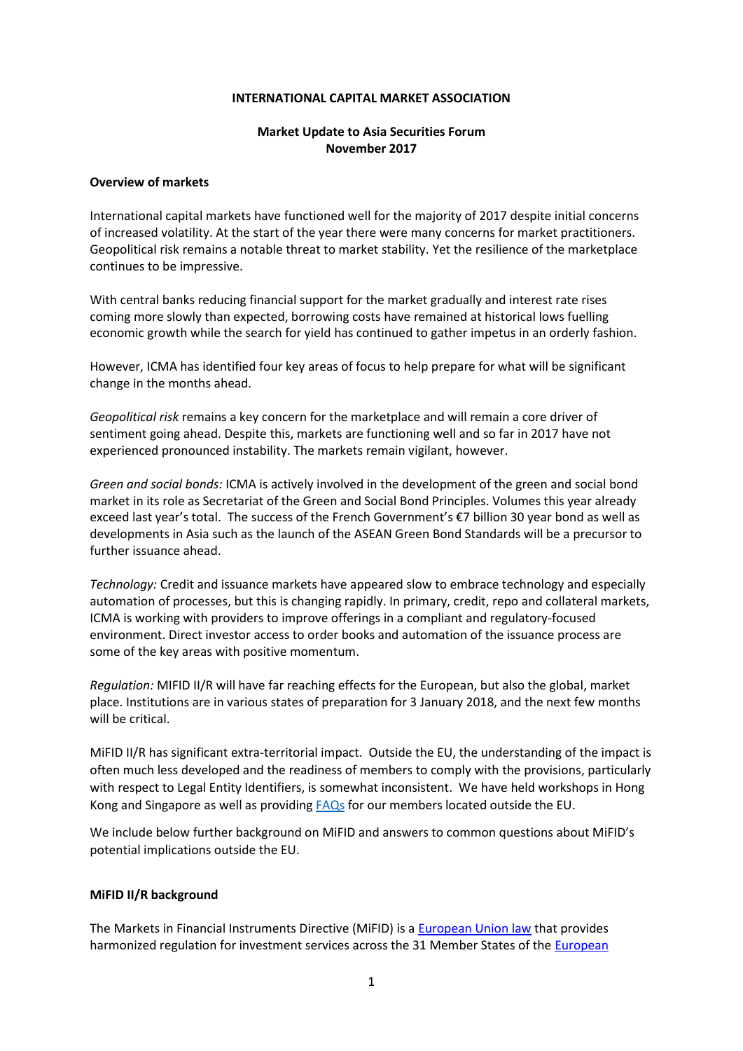#### **INTERNATIONAL CAPITAL MARKET ASSOCIATION**

### **Market Update to Asia Securities Forum November 2017**

#### **Overview of markets**

International capital markets have functioned well for the majority of 2017 despite initial concerns of increased volatility. At the start of the year there were many concerns for market practitioners. Geopolitical risk remains a notable threat to market stability. Yet the resilience of the marketplace continues to be impressive.

With central banks reducing financial support for the market gradually and interest rate rises coming more slowly than expected, borrowing costs have remained at historical lows fuelling economic growth while the search for yield has continued to gather impetus in an orderly fashion.

However, ICMA has identified four key areas of focus to help prepare for what will be significant change in the months ahead.

*Geopolitical risk* remains a key concern for the marketplace and will remain a core driver of sentiment going ahead. Despite this, markets are functioning well and so far in 2017 have not experienced pronounced instability. The markets remain vigilant, however.

*Green and social bonds:* ICMA is actively involved in the development of the green and social bond market in its role as Secretariat of the Green and Social Bond Principles. Volumes this year already exceed last year's total. The success of the French Government's €7 billion 30 year bond as well as developments in Asia such as the launch of the ASEAN Green Bond Standards will be a precursor to further issuance ahead.

*Technology:* Credit and issuance markets have appeared slow to embrace technology and especially automation of processes, but this is changing rapidly. In primary, credit, repo and collateral markets, ICMA is working with providers to improve offerings in a compliant and regulatory-focused environment. Direct investor access to order books and automation of the issuance process are some of the key areas with positive momentum.

*Regulation:* MIFID II/R will have far reaching effects for the European, but also the global, market place. Institutions are in various states of preparation for 3 January 2018, and the next few months will be critical.

MiFID II/R has significant extra-territorial impact. Outside the EU, the understanding of the impact is often much less developed and the readiness of members to comply with the provisions, particularly with respect to Legal Entity Identifiers, is somewhat inconsistent. We have held workshops in Hong Kong and Singapore as well as providing [FAQs](https://www.icmagroup.org/assets/documents/Regulatory/Secondary-markets/MiFID-II-FAQs-September-2017.pdf) for our members located outside the EU.

We include below further background on MiFID and answers to common questions about MiFID's potential implications outside the EU.

#### **MiFID II/R background**

The Markets in Financial Instruments Directive (MiFID) is a [European Union law](https://en.wikipedia.org/wiki/European_Union_law) that provides harmonized regulation for investment services across the 31 Member States of the [European](https://en.wikipedia.org/wiki/European_Economic_Area)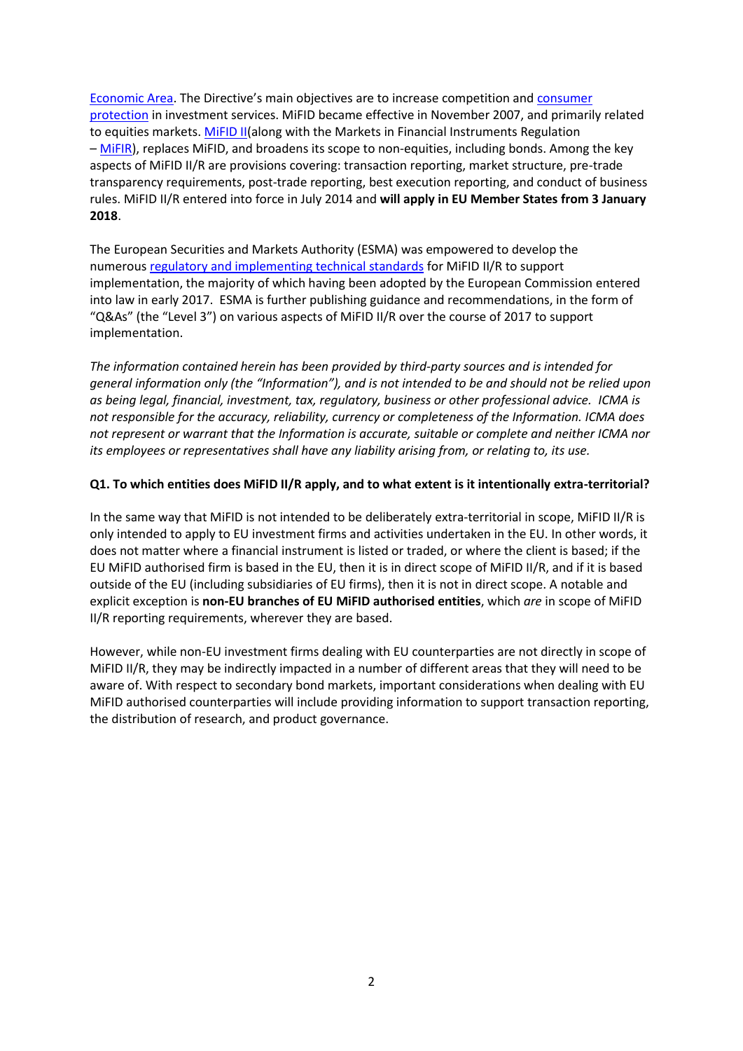[Economic Area](https://en.wikipedia.org/wiki/European_Economic_Area). The Directive's main objectives are to increase competition and [consumer](https://en.wikipedia.org/wiki/Consumer_protection)  [protection](https://en.wikipedia.org/wiki/Consumer_protection) in investment services. MiFID became effective in November 2007, and primarily related to equities markets. [MiFID II\(](http://eur-lex.europa.eu/legal-content/EN/TXT/PDF/?uri=CELEX:32014L0065&from=EN)along with the Markets in Financial Instruments Regulation – [MiFIR\)](http://eur-lex.europa.eu/legal-content/EN/TXT/PDF/?uri=CELEX:32014R0600&from=EN), replaces MiFID, and broadens its scope to non-equities, including bonds. Among the key aspects of MiFID II/R are provisions covering: transaction reporting, market structure, pre-trade transparency requirements, post-trade reporting, best execution reporting, and conduct of business rules. MiFID II/R entered into force in July 2014 and **will apply in EU Member States from 3 January 2018**.

The European Securities and Markets Authority (ESMA) was empowered to develop the numerous [regulatory and implementing technical standards](http://ec.europa.eu/finance/securities/docs/isd/mifid/its-rts-overview-table_en.pdf) for MiFID II/R to support implementation, the majority of which having been adopted by the European Commission entered into law in early 2017. ESMA is further publishing guidance and recommendations, in the form of "Q&As" (the "Level 3") on various aspects of MiFID II/R over the course of 2017 to support implementation.

*The information contained herein has been provided by third-party sources and is intended for general information only (the "Information"), and is not intended to be and should not be relied upon as being legal, financial, investment, tax, regulatory, business or other professional advice. ICMA is not responsible for the accuracy, reliability, currency or completeness of the Information. ICMA does not represent or warrant that the Information is accurate, suitable or complete and neither ICMA nor its employees or representatives shall have any liability arising from, or relating to, its use.*

### **Q1. To which entities does MiFID II/R apply, and to what extent is it intentionally extra-territorial?**

In the same way that MiFID is not intended to be deliberately extra-territorial in scope, MiFID II/R is only intended to apply to EU investment firms and activities undertaken in the EU. In other words, it does not matter where a financial instrument is listed or traded, or where the client is based; if the EU MiFID authorised firm is based in the EU, then it is in direct scope of MiFID II/R, and if it is based outside of the EU (including subsidiaries of EU firms), then it is not in direct scope. A notable and explicit exception is **non-EU branches of EU MiFID authorised entities**, which *are* in scope of MiFID II/R reporting requirements, wherever they are based.

However, while non-EU investment firms dealing with EU counterparties are not directly in scope of MiFID II/R, they may be indirectly impacted in a number of different areas that they will need to be aware of. With respect to secondary bond markets, important considerations when dealing with EU MiFID authorised counterparties will include providing information to support transaction reporting, the distribution of research, and product governance.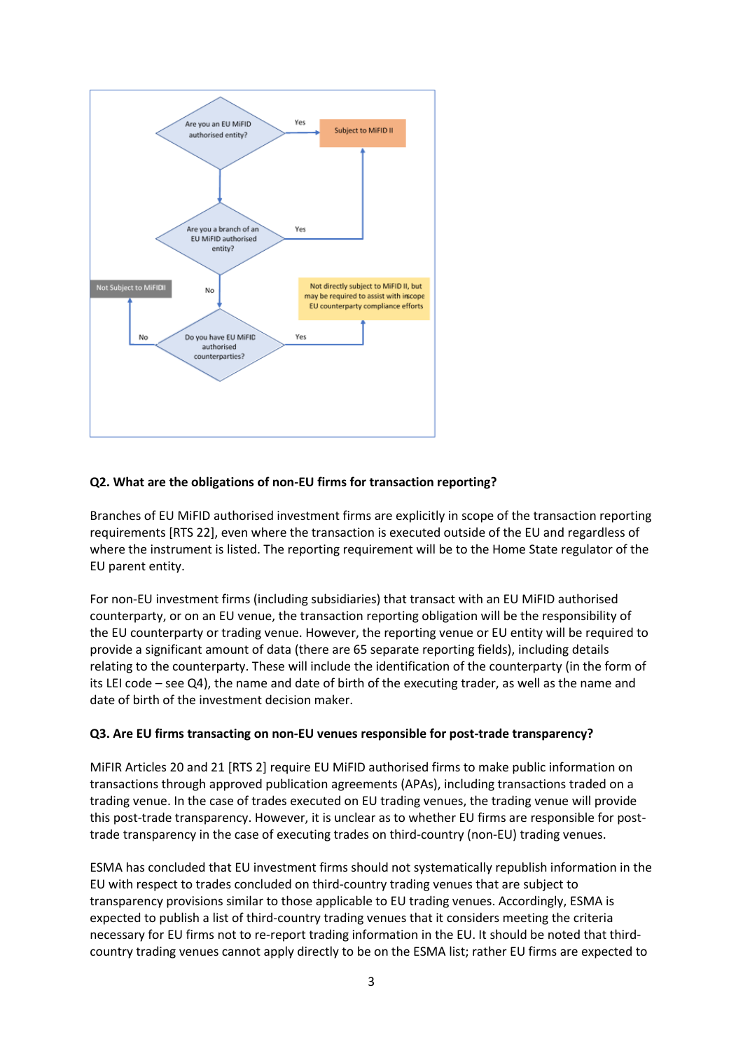

# **Q2. What are the obligations of non-EU firms for transaction reporting?**

Branches of EU MiFID authorised investment firms are explicitly in scope of the transaction reporting requirements [RTS 22], even where the transaction is executed outside of the EU and regardless of where the instrument is listed. The reporting requirement will be to the Home State regulator of the EU parent entity.

For non-EU investment firms (including subsidiaries) that transact with an EU MiFID authorised counterparty, or on an EU venue, the transaction reporting obligation will be the responsibility of the EU counterparty or trading venue. However, the reporting venue or EU entity will be required to provide a significant amount of data (there are 65 separate reporting fields), including details relating to the counterparty. These will include the identification of the counterparty (in the form of its LEI code – see Q4), the name and date of birth of the executing trader, as well as the name and date of birth of the investment decision maker.

#### **Q3. Are EU firms transacting on non-EU venues responsible for post-trade transparency?**

MiFIR Articles 20 and 21 [RTS 2] require EU MiFID authorised firms to make public information on transactions through approved publication agreements (APAs), including transactions traded on a trading venue. In the case of trades executed on EU trading venues, the trading venue will provide this post-trade transparency. However, it is unclear as to whether EU firms are responsible for posttrade transparency in the case of executing trades on third-country (non-EU) trading venues.

ESMA has concluded that EU investment firms should not systematically republish information in the EU with respect to trades concluded on third-country trading venues that are subject to transparency provisions similar to those applicable to EU trading venues. Accordingly, ESMA is expected to publish a list of third-country trading venues that it considers meeting the criteria necessary for EU firms not to re-report trading information in the EU. It should be noted that thirdcountry trading venues cannot apply directly to be on the ESMA list; rather EU firms are expected to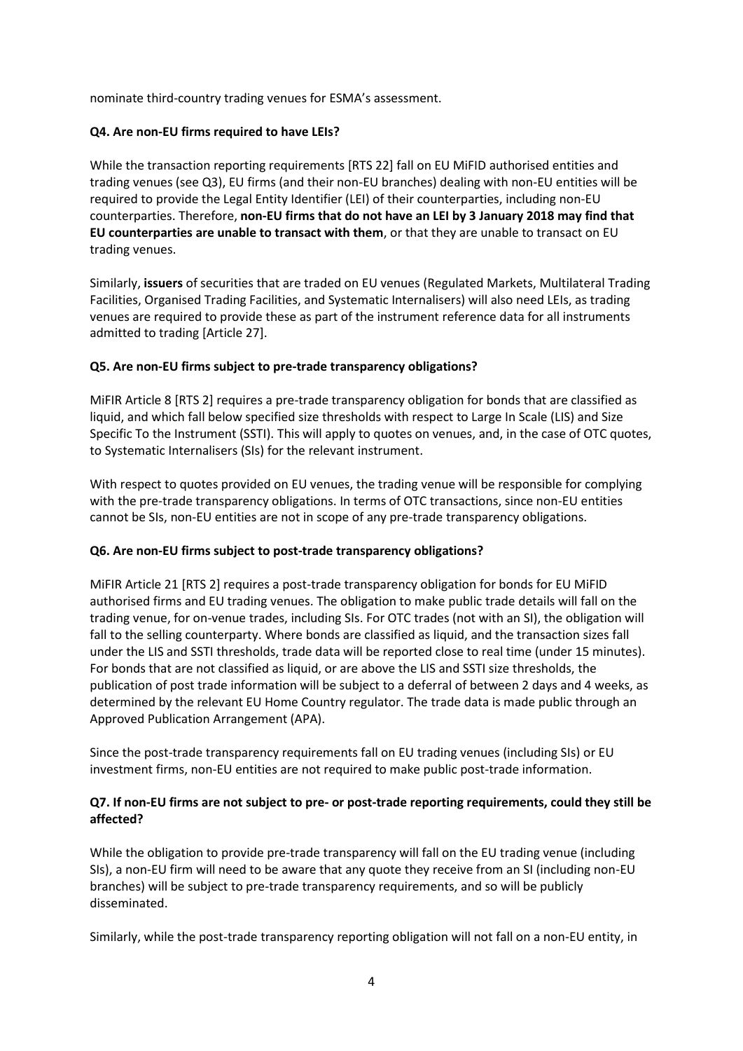nominate third-country trading venues for ESMA's assessment.

## **Q4. Are non-EU firms required to have LEIs?**

While the transaction reporting requirements [RTS 22] fall on EU MiFID authorised entities and trading venues (see Q3), EU firms (and their non-EU branches) dealing with non-EU entities will be required to provide the Legal Entity Identifier (LEI) of their counterparties, including non-EU counterparties. Therefore, **non-EU firms that do not have an LEI by 3 January 2018 may find that EU counterparties are unable to transact with them**, or that they are unable to transact on EU trading venues.

Similarly, **issuers** of securities that are traded on EU venues (Regulated Markets, Multilateral Trading Facilities, Organised Trading Facilities, and Systematic Internalisers) will also need LEIs, as trading venues are required to provide these as part of the instrument reference data for all instruments admitted to trading [Article 27].

### **Q5. Are non-EU firms subject to pre-trade transparency obligations?**

MiFIR Article 8 [RTS 2] requires a pre-trade transparency obligation for bonds that are classified as liquid, and which fall below specified size thresholds with respect to Large In Scale (LIS) and Size Specific To the Instrument (SSTI). This will apply to quotes on venues, and, in the case of OTC quotes, to Systematic Internalisers (SIs) for the relevant instrument.

With respect to quotes provided on EU venues, the trading venue will be responsible for complying with the pre-trade transparency obligations. In terms of OTC transactions, since non-EU entities cannot be SIs, non-EU entities are not in scope of any pre-trade transparency obligations.

#### **Q6. Are non-EU firms subject to post-trade transparency obligations?**

MiFIR Article 21 [RTS 2] requires a post-trade transparency obligation for bonds for EU MiFID authorised firms and EU trading venues. The obligation to make public trade details will fall on the trading venue, for on-venue trades, including SIs. For OTC trades (not with an SI), the obligation will fall to the selling counterparty. Where bonds are classified as liquid, and the transaction sizes fall under the LIS and SSTI thresholds, trade data will be reported close to real time (under 15 minutes). For bonds that are not classified as liquid, or are above the LIS and SSTI size thresholds, the publication of post trade information will be subject to a deferral of between 2 days and 4 weeks, as determined by the relevant EU Home Country regulator. The trade data is made public through an Approved Publication Arrangement (APA).

Since the post-trade transparency requirements fall on EU trading venues (including SIs) or EU investment firms, non-EU entities are not required to make public post-trade information.

# **Q7. If non-EU firms are not subject to pre- or post-trade reporting requirements, could they still be affected?**

While the obligation to provide pre-trade transparency will fall on the EU trading venue (including SIs), a non-EU firm will need to be aware that any quote they receive from an SI (including non-EU branches) will be subject to pre-trade transparency requirements, and so will be publicly disseminated.

Similarly, while the post-trade transparency reporting obligation will not fall on a non-EU entity, in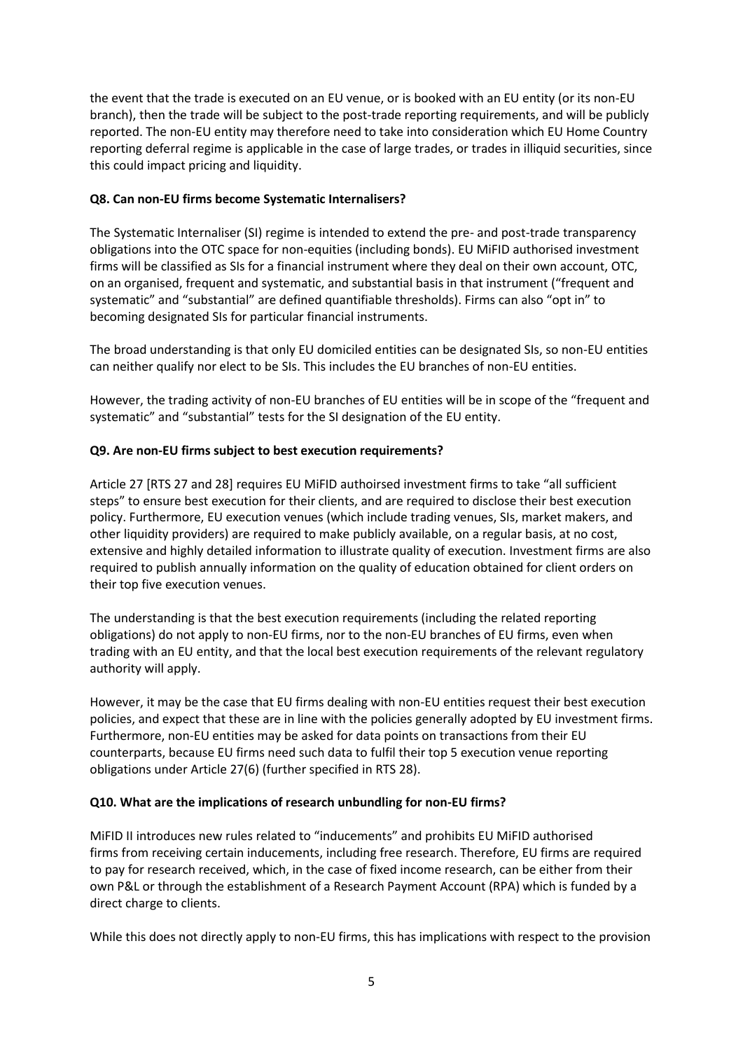the event that the trade is executed on an EU venue, or is booked with an EU entity (or its non-EU branch), then the trade will be subject to the post-trade reporting requirements, and will be publicly reported. The non-EU entity may therefore need to take into consideration which EU Home Country reporting deferral regime is applicable in the case of large trades, or trades in illiquid securities, since this could impact pricing and liquidity.

## **Q8. Can non-EU firms become Systematic Internalisers?**

The Systematic Internaliser (SI) regime is intended to extend the pre- and post-trade transparency obligations into the OTC space for non-equities (including bonds). EU MiFID authorised investment firms will be classified as SIs for a financial instrument where they deal on their own account, OTC, on an organised, frequent and systematic, and substantial basis in that instrument ("frequent and systematic" and "substantial" are defined quantifiable thresholds). Firms can also "opt in" to becoming designated SIs for particular financial instruments.

The broad understanding is that only EU domiciled entities can be designated SIs, so non-EU entities can neither qualify nor elect to be SIs. This includes the EU branches of non-EU entities.

However, the trading activity of non-EU branches of EU entities will be in scope of the "frequent and systematic" and "substantial" tests for the SI designation of the EU entity.

### **Q9. Are non-EU firms subject to best execution requirements?**

Article 27 [RTS 27 and 28] requires EU MiFID authoirsed investment firms to take "all sufficient steps" to ensure best execution for their clients, and are required to disclose their best execution policy. Furthermore, EU execution venues (which include trading venues, SIs, market makers, and other liquidity providers) are required to make publicly available, on a regular basis, at no cost, extensive and highly detailed information to illustrate quality of execution. Investment firms are also required to publish annually information on the quality of education obtained for client orders on their top five execution venues.

The understanding is that the best execution requirements (including the related reporting obligations) do not apply to non-EU firms, nor to the non-EU branches of EU firms, even when trading with an EU entity, and that the local best execution requirements of the relevant regulatory authority will apply.

However, it may be the case that EU firms dealing with non-EU entities request their best execution policies, and expect that these are in line with the policies generally adopted by EU investment firms. Furthermore, non-EU entities may be asked for data points on transactions from their EU counterparts, because EU firms need such data to fulfil their top 5 execution venue reporting obligations under Article 27(6) (further specified in RTS 28).

# **Q10. What are the implications of research unbundling for non-EU firms?**

MiFID II introduces new rules related to "inducements" and prohibits EU MiFID authorised firms from receiving certain inducements, including free research. Therefore, EU firms are required to pay for research received, which, in the case of fixed income research, can be either from their own P&L or through the establishment of a Research Payment Account (RPA) which is funded by a direct charge to clients.

While this does not directly apply to non-EU firms, this has implications with respect to the provision